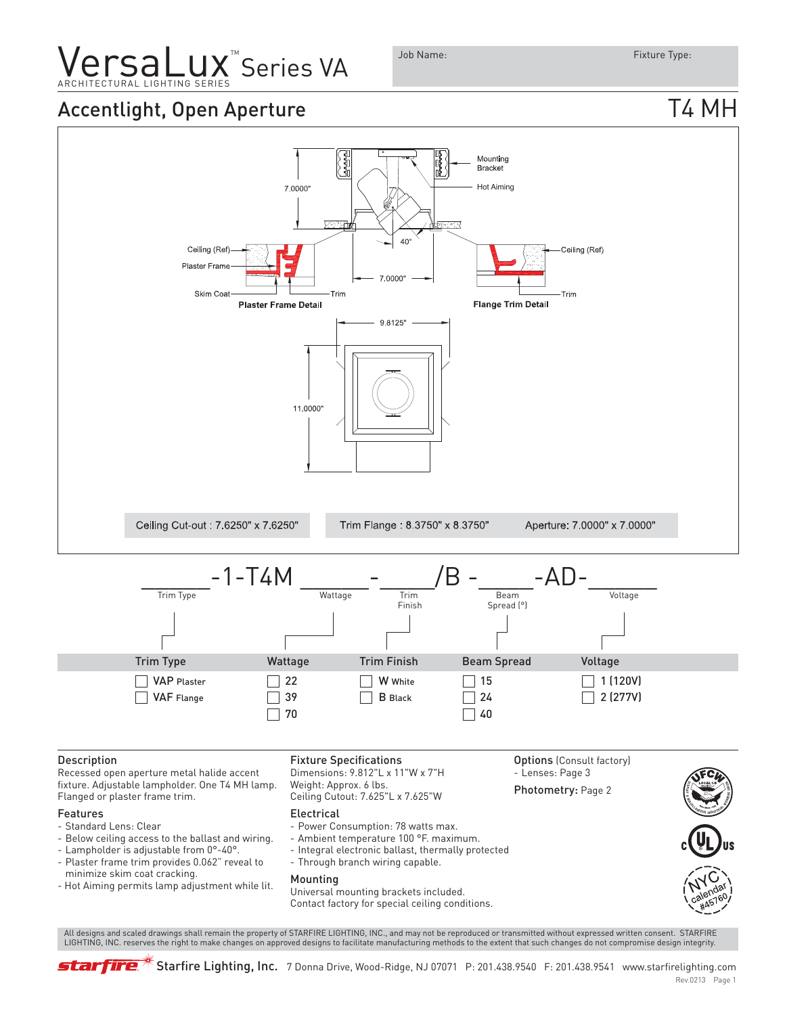# **Versal LIGHTING SERIES VA**

### Accentlight, Open Aperture T4 MH



 All designs and scaled drawings shall remain the property of STARFIRE LIGHTING, INC., and may not be reproduced or transmitted without expressed written consent. STARFIRE LIGHTING, INC. reserves the right to make changes on approved designs to facilitate manufacturing methods to the extent that such changes do not compromise design integrity.

starfire

 $*$  Starfire Lighting, Inc. 7 Donna Drive, Wood-Ridge, NJ 07071 P: 201.438.9540 F: 201.438.9541 www.starfirelighting.com

#### Rev.0213 Page 1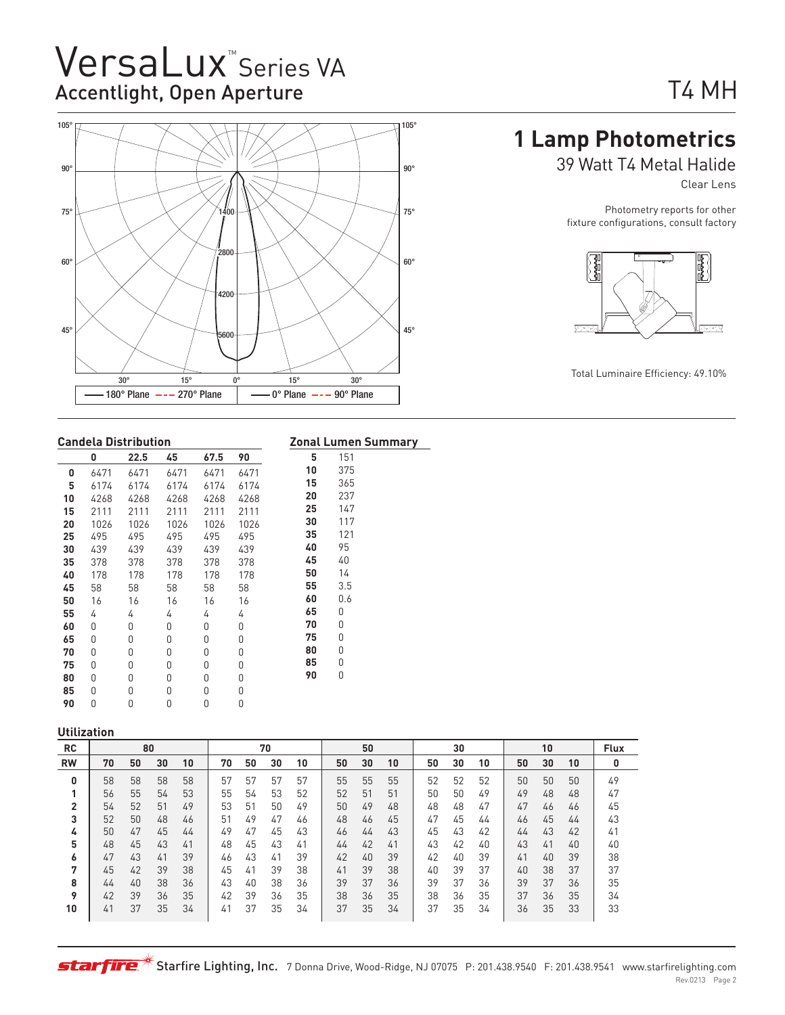## VersaLux<sup>"</sup>Series VA Accentlight, Open Aperture



# T4 MH

### **1 Lamp Photometrics**

39 Watt T4 Metal Halide

Clear Lens

Photometry reports for other fixture configurations, consult factory



#### **Candela Distribution**

|    |          | Candela Distribution |      |      |          |    | Zonal Lumen Summary |
|----|----------|----------------------|------|------|----------|----|---------------------|
|    | 0        | 22.5                 | 45   | 67.5 | 90       | 5  | 151                 |
| 0  | 6471     | 6471                 | 6471 | 6471 | 6471     | 10 | 375                 |
| 5  | 6174     | 6174                 | 6174 | 6174 | 6174     | 15 | 365                 |
| 10 | 4268     | 4268                 | 4268 | 4268 | 4268     | 20 | 237                 |
| 15 | 2111     | 2111                 | 2111 | 2111 | 2111     | 25 | 147                 |
| 20 | 1026     | 1026                 | 1026 | 1026 | 1026     | 30 | 117                 |
| 25 | 495      | 495                  | 495  | 495  | 495      | 35 | 121                 |
| 30 | 439      | 439                  | 439  | 439  | 439      | 40 | 95                  |
| 35 | 378      | 378                  | 378  | 378  | 378      | 45 | 40                  |
| 40 | 178      | 178                  | 178  | 178  | 178      | 50 | 14                  |
| 45 | 58       | 58                   | 58   | 58   | 58       | 55 | 3.5                 |
| 50 | 16       | 16                   | 16   | 16   | 16       | 60 | 0.6                 |
| 55 | 4        | 4                    | 4    | 4    | 4        | 65 | 0                   |
| 60 | 0        | 0                    | 0    | 0    | 0        | 70 | 0                   |
| 65 | 0        | 0                    | 0    | 0    | 0        | 75 | 0                   |
| 70 | 0        | 0                    | 0    | 0    | 0        | 80 | 0                   |
| 75 | $\Omega$ | $\Omega$             | 0    | 0    | $\Omega$ | 85 | 0                   |
| 80 | 0        | 0                    | 0    | 0    | 0        | 90 | 0                   |
| 85 | 0        | 0                    | 0    | 0    | 0        |    |                     |
| 90 | 0        | 0                    | 0    | 0    | 0        |    |                     |

#### **Utilization**

| <b>RC</b> |    | 80 |    |    |    |    | 70 |    |    | 50 |    |    | 30 |    |    | 10 |    | <b>Flux</b> |
|-----------|----|----|----|----|----|----|----|----|----|----|----|----|----|----|----|----|----|-------------|
| <b>RW</b> | 70 | 50 | 30 | 10 | 70 | 50 | 30 | 10 | 50 | 30 | 10 | 50 | 30 | 10 | 50 | 30 | 10 | 0           |
| 0         | 58 | 58 | 58 | 58 | 57 | 57 | 57 | 57 | 55 | 55 | 55 | 52 | 52 | 52 | 50 | 50 | 50 | 49          |
|           | 56 | 55 | 54 | 53 | 55 | 54 | 53 | 52 | 52 | 51 | 51 | 50 | 50 | 49 | 49 | 48 | 48 | 47          |
| 2         | 54 | 52 | 51 | 49 | 53 | 51 | 50 | 49 | 50 | 49 | 48 | 48 | 48 | 47 | 47 | 46 | 46 | 45          |
| 3         | 52 | 50 | 48 | 46 | 51 | 49 | 47 | 46 | 48 | 46 | 45 | 47 | 45 | 44 | 46 | 45 | 44 | 43          |
| 4         | 50 | 47 | 45 | 44 | 49 | 47 | 45 | 43 | 46 | 44 | 43 | 45 | 43 | 42 | 44 | 43 | 42 | 41          |
| 5         | 48 | 45 | 43 | 41 | 48 | 45 | 43 | 41 | 44 | 42 | 41 | 43 | 42 | 40 | 43 | 41 | 40 | 40          |
| 6         | 47 | 43 | 41 | 39 | 46 | 43 | 41 | 39 | 42 | 40 | 39 | 42 | 40 | 39 | 41 | 40 | 39 | 38          |
| 7         | 45 | 42 | 39 | 38 | 45 | 41 | 39 | 38 | 41 | 39 | 38 | 40 | 39 | 37 | 40 | 38 | 37 | 37          |
| 8         | 44 | 40 | 38 | 36 | 43 | 40 | 38 | 36 | 39 | 37 | 36 | 39 | 37 | 36 | 39 | 37 | 36 | 35          |
| 9         | 42 | 39 | 36 | 35 | 42 | 39 | 36 | 35 | 38 | 36 | 35 | 38 | 36 | 35 | 37 | 36 | 35 | 34          |
| 10        | 41 | 37 | 35 | 34 | 41 | 37 | 35 | 34 | 37 | 35 | 34 | 37 | 35 | 34 | 36 | 35 | 33 | 33          |